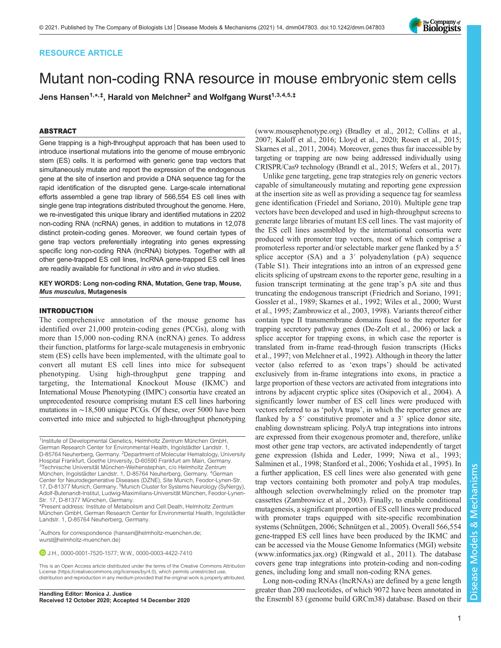## RESOURCE ARTICLE

# Mutant non-coding RNA resource in mouse embryonic stem cells

Jens Hansen<sup>1,</sup>\*<sub>,</sub>t, Harald von Melchner<sup>2</sup> and Wolfgang Wurst<sup>1,3,4,5,‡</sup>

## ABSTRACT

Gene trapping is a high-throughput approach that has been used to introduce insertional mutations into the genome of mouse embryonic stem (ES) cells. It is performed with generic gene trap vectors that simultaneously mutate and report the expression of the endogenous gene at the site of insertion and provide a DNA sequence tag for the rapid identification of the disrupted gene. Large-scale international efforts assembled a gene trap library of 566,554 ES cell lines with single gene trap integrations distributed throughout the genome. Here, we re-investigated this unique library and identified mutations in 2202 non-coding RNA (ncRNA) genes, in addition to mutations in 12,078 distinct protein-coding genes. Moreover, we found certain types of gene trap vectors preferentially integrating into genes expressing specific long non-coding RNA (lncRNA) biotypes. Together with all other gene-trapped ES cell lines, lncRNA gene-trapped ES cell lines are readily available for functional in vitro and in vivo studies.

#### KEY WORDS: Long non-coding RNA, Mutation, Gene trap, Mouse, Mus musculus, Mutagenesis

## INTRODUCTION

The comprehensive annotation of the mouse genome has identified over 21,000 protein-coding genes (PCGs), along with more than 15,000 non-coding RNA (ncRNA) genes. To address their function, platforms for large-scale mutagenesis in embryonic stem (ES) cells have been implemented, with the ultimate goal to convert all mutant ES cell lines into mice for subsequent phenotyping. Using high-throughput gene trapping and targeting, the International Knockout Mouse (IKMC) and International Mouse Phenotyping (IMPC) consortia have created an unprecedented resource comprising mutant ES cell lines harboring mutations in ∼18,500 unique PCGs. Of these, over 5000 have been converted into mice and subjected to high-throughput phenotyping

‡ Authors for correspondence [\(hansen@helmholtz-muenchen.de](mailto:hansen@helmholtz-muenchen.de); [wurst@helmholtz-muenchen.de\)](mailto:wurst@helmholtz-muenchen.de)

J.H., [0000-0001-7520-1577](http://orcid.org/0000-0001-7520-1577); W.W., [0000-0003-4422-7410](http://orcid.org/0000-0003-4422-7410)

This is an Open Access article distributed under the terms of the Creative Commons Attribution License (https://creativecommons.org/licenses/by/4.0), which permits unrestricted use, distribution and reproduction in any medium provided that the original work is properly attributed.

Received 12 October 2020; Accepted 14 December 2020

[\(www.mousephenotype.org\)](http://www.mousephenotype.org) [\(Bradley et al., 2012; Collins et al.,](#page-5-0) [2007;](#page-5-0) [Kaloff et al., 2016](#page-6-0); [Lloyd et al., 2020](#page-6-0); [Rosen et al., 2015](#page-6-0); [Skarnes et al., 2011](#page-6-0), [2004](#page-6-0)). Moreover, genes thus far inaccessible by targeting or trapping are now being addressed individually using CRISPR/Cas9 technology [\(Brandl et al., 2015](#page-5-0); [Wefers et al., 2017\)](#page-6-0).

Unlike gene targeting, gene trap strategies rely on generic vectors capable of simultaneously mutating and reporting gene expression at the insertion site as well as providing a sequence tag for seamless gene identification ([Friedel and Soriano, 2010](#page-5-0)). Multiple gene trap vectors have been developed and used in high-throughput screens to generate large libraries of mutant ES cell lines. The vast majority of the ES cell lines assembled by the international consortia were produced with promoter trap vectors, most of which comprise a promoterless reporter and/or selectable marker gene flanked by a 5′ splice acceptor (SA) and a 3' polyadenylation (pA) sequence [\(Table S1](http://dmm.biologists.org/lookup/doi/10.1242/dmm047803.supplemental)). Their integrations into an intron of an expressed gene elicits splicing of upstream exons to the reporter gene, resulting in a fusion transcript terminating at the gene trap's pA site and thus truncating the endogenous transcript [\(Friedrich and Soriano, 1991](#page-5-0); [Gossler et al., 1989](#page-5-0); [Skarnes et al., 1992; Wiles et al., 2000](#page-6-0); [Wurst](#page-6-0) [et al., 1995; Zambrowicz et al., 2003](#page-6-0), [1998\)](#page-6-0). Variants thereof either contain type II transmembrane domains fused to the reporter for trapping secretory pathway genes ([De-Zolt et al., 2006\)](#page-5-0) or lack a splice acceptor for trapping exons, in which case the reporter is translated from in-frame read-through fusion transcripts ([Hicks](#page-5-0) [et al., 1997;](#page-5-0) [von Melchner et al., 1992\)](#page-6-0). Although in theory the latter vector (also referred to as 'exon traps') should be activated exclusively from in-frame integrations into exons, in practice a large proportion of these vectors are activated from integrations into introns by adjacent cryptic splice sites ([Osipovich et al., 2004\)](#page-6-0). A significantly lower number of ES cell lines were produced with vectors referred to as 'polyA traps', in which the reporter genes are flanked by a 5' constitutive promoter and a 3' splice donor site, enabling downstream splicing. PolyA trap integrations into introns are expressed from their exogenous promoter and, therefore, unlike most other gene trap vectors, are activated independently of target gene expression ([Ishida and Leder, 1999; Niwa et al., 1993](#page-6-0); [Salminen et al., 1998](#page-6-0); [Stanford et al., 2006](#page-6-0); [Yoshida et al., 1995\)](#page-6-0). In a further application, ES cell lines were also generated with gene trap vectors containing both promoter and polyA trap modules, although selection overwhelmingly relied on the promoter trap cassettes ([Zambrowicz et al., 2003\)](#page-6-0). Finally, to enable conditional mutagenesis, a significant proportion of ES cell lines were produced with promoter traps equipped with site-specific recombination systems [\(Schnütgen, 2006](#page-6-0); [Schnütgen et al., 2005](#page-6-0)). Overall 566,554 gene-trapped ES cell lines have been produced by the IKMC and can be accessed via the Mouse Genome Informatics (MGI) website [\(www.informatics.jax.org](http://www.informatics.jax.org)) [\(Ringwald et al., 2011](#page-6-0)). The database covers gene trap integrations into protein-coding and non-coding genes, including long and small non-coding RNA genes.

Long non-coding RNAs (lncRNAs) are defined by a gene length greater than 200 nucleotides, of which 9072 have been annotated in Handling Editor: Monica J. Justice<br>Received 12 October 2020; Accepted 14 December 2020 the Ensembl 83 (genome build GRCm38) database. Based on their

<sup>&</sup>lt;sup>1</sup>Institute of Developmental Genetics, Helmholtz Zentrum München GmbH, German Research Center for Environmental Health, Ingolstädter Landstr. 1, D-85764 Neuherberg, Germany. <sup>2</sup>Department of Molecular Hematology, University Hospital Frankfurt, Goethe University, D-60590 Frankfurt am Main, Germany. <sup>3</sup>Technische Universität München-Weihenstephan, c/o Helmholtz Zentrum München, Ingolstädter Landstr. 1, D-85764 Neuherberg, Germany. <sup>4</sup>German Center for Neurodegenerative Diseases (DZNE), Site Munich, Feodor-Lynen-Str. 17, D-81377 Munich, Germany. <sup>5</sup>Munich Cluster for Systems Neurology (SyNergy), Adolf-Butenandt-Institut, Ludwig-Maximilians-Universität München, Feodor-Lynen-Str. 17, D-81377 München, Germany.

<sup>\*</sup>Present address: Institute of Metabolism and Cell Death, Helmholtz Zentrum München GmbH, German Research Center for Environmental Health, Ingolstädter Landstr. 1, D-85764 Neuherberg, Germany.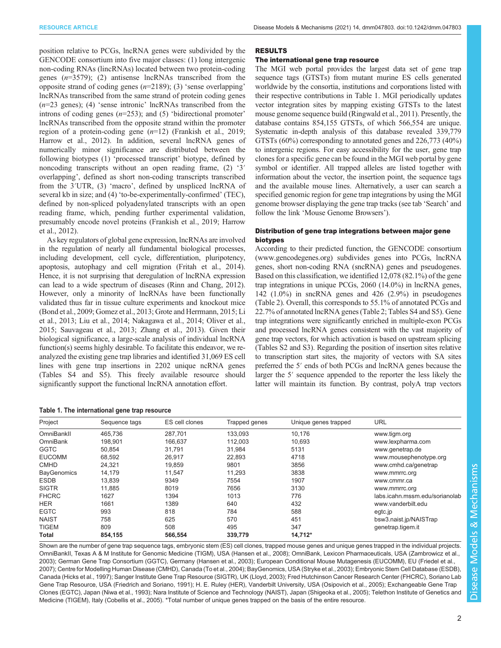position relative to PCGs, lncRNA genes were subdivided by the GENCODE consortium into five major classes: (1) long intergenic non-coding RNAs (lincRNAs) located between two protein-coding genes  $(n=3579)$ ; (2) antisense lncRNAs transcribed from the opposite strand of coding genes  $(n=2189)$ ; (3) 'sense overlapping' lncRNAs transcribed from the same strand of protein coding genes  $(n=23 \text{ genes})$ ; (4) 'sense intronic' lncRNAs transcribed from the introns of coding genes  $(n=253)$ ; and  $(5)$  'bidirectional promoter' lncRNAs transcribed from the opposite strand within the promoter region of a protein-coding gene  $(n=12)$  ([Frankish et al., 2019](#page-5-0); [Harrow et al., 2012](#page-5-0)). In addition, several lncRNA genes of numerically minor significance are distributed between the following biotypes (1) 'processed transcript' biotype, defined by noncoding transcripts without an open reading frame, (2) '3′ overlapping', defined as short non-coding transcripts transcribed from the 3′UTR, (3) 'macro', defined by unspliced lncRNA of several kb in size; and (4) 'to-be-experimentally-confirmed' (TEC), defined by non-spliced polyadenylated transcripts with an open reading frame, which, pending further experimental validation, presumably encode novel proteins ([Frankish et al., 2019; Harrow](#page-5-0) [et al., 2012\)](#page-5-0).

As key regulators of global gene expression, lncRNAs are involved in the regulation of nearly all fundamental biological processes, including development, cell cycle, differentiation, pluripotency, apoptosis, autophagy and cell migration [\(Fritah et al., 2014\)](#page-5-0). Hence, it is not surprising that deregulation of lncRNA expression can lead to a wide spectrum of diseases [\(Rinn and Chang, 2012\)](#page-6-0). However, only a minority of lncRNAs have been functionally validated thus far in tissue culture experiments and knockout mice [\(Bond et al., 2009; Gomez et al., 2013](#page-5-0); [Grote and Herrmann, 2015;](#page-5-0) [Li](#page-6-0) [et al., 2013; Liu et al., 2014; Nakagawa et al., 2014; Oliver et al.,](#page-6-0) [2015; Sauvageau et al., 2013; Zhang et al., 2013](#page-6-0)). Given their biological significance, a large-scale analysis of individual lncRNA function(s) seems highly desirable. To facilitate this endeavor, we reanalyzed the existing gene trap libraries and identified 31,069 ES cell lines with gene trap insertions in 2202 unique ncRNA genes [\(Tables S4 and S5](http://dmm.biologists.org/lookup/doi/10.1242/dmm047803.supplemental)). This freely available resource should significantly support the functional lncRNA annotation effort.

| Table 1. The international gene trap resource |  |
|-----------------------------------------------|--|
|-----------------------------------------------|--|

## RESULTS

## The international gene trap resource

The MGI web portal provides the largest data set of gene trap sequence tags (GTSTs) from mutant murine ES cells generated worldwide by the consortia, institutions and corporations listed with their respective contributions in Table 1. MGI periodically updates vector integration sites by mapping existing GTSTs to the latest mouse genome sequence build [\(Ringwald et al., 2011](#page-6-0)). Presently, the database contains 854,155 GTSTs, of which 566,554 are unique. Systematic in-depth analysis of this database revealed 339,779 GTSTs (60%) corresponding to annotated genes and 226,773 (40%) to intergenic regions. For easy accessibility for the user, gene trap clones for a specific gene can be found in the MGI web portal by gene symbol or identifier. All trapped alleles are listed together with information about the vector, the insertion point, the sequence tags and the available mouse lines. Alternatively, a user can search a specified genomic region for gene trap integrations by using the MGI genome browser displaying the gene trap tracks (see tab 'Search' and follow the link 'Mouse Genome Browsers').

## Distribution of gene trap integrations between major gene biotypes

According to their predicted function, the GENCODE consortium [\(www.gencodegenes.org\)](http://www.gencodegenes.org) subdivides genes into PCGs, lncRNA genes, short non-coding RNA (sncRNA) genes and pseudogenes. Based on this classification, we identified 12,078 (82.1%) of the gene trap integrations in unique PCGs, 2060 (14.0%) in lncRNA genes, 142 (1.0%) in sncRNA genes and 426 (2.9%) in pseudogenes [\(Table 2\)](#page-2-0). Overall, this corresponds to 55.1% of annotated PCGs and 22.7% of annotated lncRNA genes [\(Table 2](#page-2-0); [Tables S4](http://dmm.biologists.org/lookup/doi/10.1242/dmm047803.supplemental) and [S5](http://dmm.biologists.org/lookup/doi/10.1242/dmm047803.supplemental)). Gene trap integrations were significantly enriched in multiple-exon PCGs and processed lncRNA genes consistent with the vast majority of gene trap vectors, for which activation is based on upstream splicing [\(Tables S2](http://dmm.biologists.org/lookup/doi/10.1242/dmm047803.supplemental) and [S3\)](http://dmm.biologists.org/lookup/doi/10.1242/dmm047803.supplemental). Regarding the position of insertion sites relative to transcription start sites, the majority of vectors with SA sites preferred the 5′ ends of both PCGs and lncRNA genes because the larger the 5′ sequence appended to the reporter the less likely the latter will maintain its function. By contrast, polyA trap vectors

| Project            | Sequence tags | ES cell clones | Trapped genes | Unique genes trapped | URL                            |
|--------------------|---------------|----------------|---------------|----------------------|--------------------------------|
| OmniBankll         | 465.736       | 287.701        | 133,093       | 10.176               | www.tigm.org                   |
| OmniBank           | 198.901       | 166.637        | 112.003       | 10.693               | www.lexpharma.com              |
| <b>GGTC</b>        | 50.854        | 31.791         | 31,984        | 5131                 | www.genetrap.de                |
| <b>EUCOMM</b>      | 68.592        | 26.917         | 22.893        | 4718                 | www.mousephenotype.org         |
| <b>CMHD</b>        | 24,321        | 19,859         | 9801          | 3856                 | www.cmhd.ca/genetrap           |
| <b>BayGenomics</b> | 14.179        | 11.547         | 11,293        | 3838                 | www.mmrrc.org                  |
| <b>ESDB</b>        | 13,839        | 9349           | 7554          | 1907                 | www.cmmr.ca                    |
| <b>SIGTR</b>       | 11.885        | 8019           | 7656          | 3130                 | www.mmrrc.org                  |
| <b>FHCRC</b>       | 1627          | 1394           | 1013          | 776                  | labs.icahn.mssm.edu/sorianolab |
| <b>HER</b>         | 1661          | 1389           | 640           | 432                  | www.vanderbilt.edu             |
| <b>EGTC</b>        | 993           | 818            | 784           | 588                  | egtc.jp                        |
| <b>NAIST</b>       | 758           | 625            | 570           | 451                  | bsw3.naist.jp/NAISTrap         |
| <b>TIGEM</b>       | 809           | 508            | 495           | 347                  | genetrap.tigem.it              |
| <b>Total</b>       | 854.155       | 566,554        | 339,779       | 14,712*              |                                |

Shown are the number of gene trap sequence tags, embryonic stem (ES) cell clones, trapped mouse genes and unique genes trapped in the individual projects. OmniBankII, Texas A & M Institute for Genomic Medicine (TIGM), USA [\(Hansen et al., 2008](#page-5-0)); OmniBank, Lexicon Pharmaceuticals, USA [\(Zambrowicz et al.,](#page-6-0) [2003\)](#page-6-0); German Gene Trap Consortium (GGTC), Germany ([Hansen et al., 2003](#page-5-0)); European Conditional Mouse Mutagenesis (EUCOMM), EU ([Friedel et al.,](#page-5-0) [2007\)](#page-5-0); Centre for Modelling Human Disease (CMHD), Canada [\(To et al., 2004](#page-6-0)); BayGenomics, USA ([Stryke et al., 2003\)](#page-6-0); Embryonic Stem Cell Database (ESDB), Canada [\(Hicks et al., 1997\)](#page-5-0); Sanger Institute Gene Trap Resource (SIGTR), UK ([Lloyd, 2003\)](#page-6-0); Fred Hutchinson Cancer Research Center (FHCRC), Soriano Lab Gene Trap Resource, USA [\(Friedrich and Soriano, 1991\)](#page-5-0); H. E. Ruley (HER), Vanderbilt University, USA ([Osipovich et al., 2005](#page-6-0)); Exchangeable Gene Trap Clones (EGTC), Japan ([Niwa et al., 1993](#page-6-0)); Nara Institute of Science and Technology (NAIST), Japan ([Shigeoka et al., 2005\)](#page-6-0); Telethon Institute of Genetics and Medicine (TIGEM), Italy ([Cobellis et al., 2005\)](#page-5-0). \*Total number of unique genes trapped on the basis of the entire resource.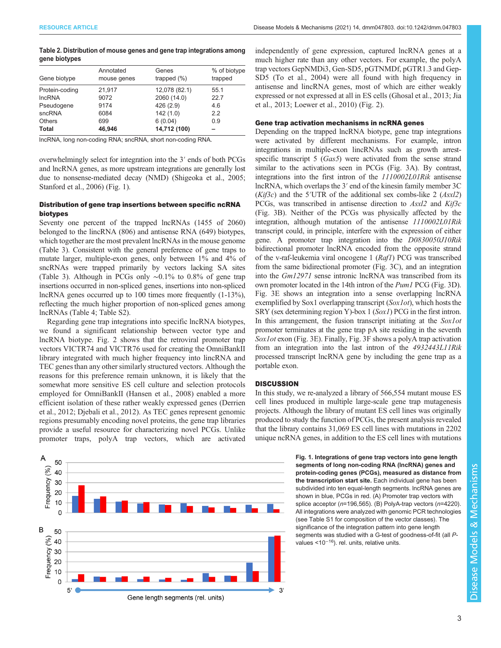<span id="page-2-0"></span>

| Table 2. Distribution of mouse genes and gene trap integrations among |  |  |
|-----------------------------------------------------------------------|--|--|
| gene biotypes                                                         |  |  |

| Gene biotype   | Annotated<br>mouse genes | Genes<br>trapped $(\%)$ | % of biotype<br>trapped |
|----------------|--------------------------|-------------------------|-------------------------|
| Protein-coding | 21,917                   | 12,078 (82.1)           | 55.1                    |
| <b>IncRNA</b>  | 9072                     | 2060 (14.0)             | 22.7                    |
| Pseudogene     | 9174                     | 426 (2.9)               | 4.6                     |
| sncRNA         | 6084                     | 142(1.0)                | 2.2                     |
| Others         | 699                      | 6(0.04)                 | 0.9                     |
| Total          | 46.946                   | 14,712 (100)            |                         |
|                |                          |                         |                         |

lncRNA, long non-coding RNA; sncRNA, short non-coding RNA.

overwhelmingly select for integration into the 3′ ends of both PCGs and lncRNA genes, as more upstream integrations are generally lost due to nonsense-mediated decay (NMD) [\(Shigeoka et al., 2005](#page-6-0); [Stanford et al., 2006\)](#page-6-0) (Fig. 1).

## Distribution of gene trap insertions between specific ncRNA biotypes

Seventy one percent of the trapped lncRNAs (1455 of 2060) belonged to the lincRNA (806) and antisense RNA (649) biotypes, which together are the most prevalent lncRNAs in the mouse genome [\(Table 3](#page-3-0)). Consistent with the general preference of gene traps to mutate larger, multiple-exon genes, only between 1% and 4% of sncRNAs were trapped primarily by vectors lacking SA sites [\(Table 3\)](#page-3-0). Although in PCGs only ∼0.1% to 0.8% of gene trap insertions occurred in non-spliced genes, insertions into non-spliced lncRNA genes occurred up to 100 times more frequently (1-13%), reflecting the much higher proportion of non-spliced genes among lncRNAs [\(Table 4](#page-3-0); [Table S2\)](http://dmm.biologists.org/lookup/doi/10.1242/dmm047803.supplemental).

Regarding gene trap integrations into specific lncRNA biotypes, we found a significant relationship between vector type and lncRNA biotype. [Fig. 2](#page-3-0) shows that the retroviral promoter trap vectors VICTR74 and VICTR76 used for creating the OmniBankII library integrated with much higher frequency into lincRNA and TEC genes than any other similarly structured vectors. Although the reasons for this preference remain unknown, it is likely that the somewhat more sensitive ES cell culture and selection protocols employed for OmniBankII [\(Hansen et al., 2008\)](#page-5-0) enabled a more efficient isolation of these rather weakly expressed genes [\(Derrien](#page-5-0) [et al., 2012; Djebali et al., 2012\)](#page-5-0). As TEC genes represent genomic regions presumably encoding novel proteins, the gene trap libraries provide a useful resource for characterizing novel PCGs. Unlike promoter traps, polyA trap vectors, which are activated



independently of gene expression, captured lncRNA genes at a much higher rate than any other vectors. For example, the polyA trap vectors GepNMDi3, Gen-SD5, pGTNMDf, pGTR1.3 and Gep-SD5 ([To et al., 2004](#page-6-0)) were all found with high frequency in antisense and lincRNA genes, most of which are either weakly expressed or not expressed at all in ES cells ([Ghosal et al., 2013;](#page-5-0) [Jia](#page-6-0) [et al., 2013; Loewer et al., 2010](#page-6-0)) [\(Fig. 2](#page-3-0)).

#### Gene trap activation mechanisms in ncRNA genes

Depending on the trapped lncRNA biotype, gene trap integrations were activated by different mechanisms. For example, intron integrations in multiple-exon lincRNAs such as growth arrestspecific transcript 5 (Gas5) were activated from the sense strand similar to the activations seen in PCGs ([Fig. 3A](#page-4-0)). By contrast, integrations into the first intron of the 1110002L01Rik antisense lncRNA, which overlaps the 3′ end of the kinesin family member 3C  $(Kif3c)$  and the 5′UTR of the additional sex combs-like 2 (Asxl2) PCGs, was transcribed in antisense direction to Asxl2 and Kif3c [\(Fig. 3](#page-4-0)B). Neither of the PCGs was physically affected by the integration, although mutation of the antisense 1110002L01Rik transcript could, in principle, interfere with the expression of either gene. A promoter trap integration into the D0830050J10Rik bidirectional promoter lncRNA encoded from the opposite strand of the v-raf-leukemia viral oncogene 1 (Raf1) PCG was transcribed from the same bidirectional promoter ([Fig. 3](#page-4-0)C), and an integration into the Gm12971 sense intronic lncRNA was transcribed from its own promoter located in the 14th intron of the Pum1 PCG [\(Fig. 3](#page-4-0)D). [Fig. 3](#page-4-0)E shows an integration into a sense overlapping lncRNA exemplified by Sox1 overlapping transcript (Sox1ot), which hosts the SRY (sex determining region Y)-box 1 (Sox1) PCG in the first intron. In this arrangement, the fusion transcript initiating at the Sox1ot promoter terminates at the gene trap pA site residing in the seventh Sox1ot exon [\(Fig. 3E](#page-4-0)). Finally, [Fig. 3](#page-4-0)F shows a polyA trap activation from an integration into the last intron of the 4932443L11Rik processed transcript lncRNA gene by including the gene trap as a portable exon.

#### **DISCUSSION**

In this study, we re-analyzed a library of 566,554 mutant mouse ES cell lines produced in multiple large-scale gene trap mutagenesis projects. Although the library of mutant ES cell lines was originally produced to study the function of PCGs, the present analysis revealed that the library contains 31,069 ES cell lines with mutations in 2202 unique ncRNA genes, in addition to the ES cell lines with mutations

> Fig. 1. Integrations of gene trap vectors into gene length segments of long non-coding RNA (lncRNA) genes and protein-coding genes (PCGs), measured as distance from the transcription start site. Each individual gene has been subdivided into ten equal-length segments. lncRNA genes are shown in blue, PCGs in red. (A) Promoter trap vectors with splice acceptor (n=196,565). (B) PolyA-trap vectors (n=4220). All integrations were analyzed with genomic PCR technologies (see [Table S1](http://dmm.biologists.org/lookup/doi/10.1242/dmm047803.supplemental) for composition of the vector classes). The significance of the integration pattern into gene length segments was studied with a G-test of goodness-of-fit (all Pvalues <10<sup>−</sup>16). rel. units, relative units.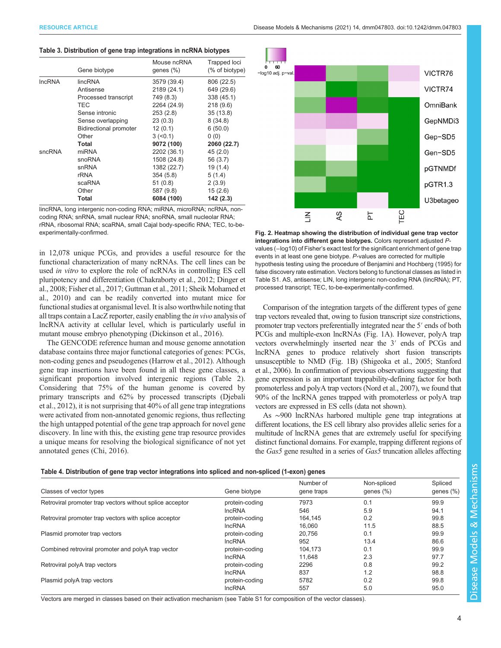#### <span id="page-3-0"></span>Table 3. Distribution of gene trap integrations in ncRNA biotypes

|               | Gene biotype                  | Mouse ncRNA<br>genes $(\%)$ | Trapped loci<br>(% of biotype) |
|---------------|-------------------------------|-----------------------------|--------------------------------|
| <b>IncRNA</b> | lincRNA                       | 3579 (39.4)                 | 806 (22.5)                     |
|               | Antisense                     | 2189 (24.1)                 | 649 (29.6)                     |
|               | Processed transcript          | 749 (8.3)                   | 338 (45.1)                     |
|               | <b>TEC</b>                    | 2264 (24.9)                 | 218(9.6)                       |
|               | Sense intronic                | 253(2.8)                    | 35(13.8)                       |
|               | Sense overlapping             | 23(0.3)                     | 8(34.8)                        |
|               | <b>Bidirectional promoter</b> | 12(0.1)                     | 6(50.0)                        |
|               | Other                         | $3 (-0.1)$                  | 0(0)                           |
|               | Total                         | 9072 (100)                  | 2060 (22.7)                    |
| sncRNA        | miRNA                         | 2202 (36.1)                 | 45(2.0)                        |
|               | snoRNA                        | 1508 (24.8)                 | 56 (3.7)                       |
|               | snRNA                         | 1382 (22.7)                 | 19 (1.4)                       |
|               | rRNA                          | 354(5.8)                    | 5(1.4)                         |
|               | scaRNA                        | 51(0.8)                     | 2(3.9)                         |
|               | Other                         | 587 (9.8)                   | 15(2.6)                        |
|               | Total                         | 6084 (100)                  | 142 (2.3)                      |

lincRNA, long intergenic non-coding RNA; miRNA, microRNA; ncRNA, noncoding RNA; snRNA, small nuclear RNA; snoRNA, small nucleolar RNA; rRNA, ribosomal RNA; scaRNA, small Cajal body-specific RNA; TEC, to-beexperimentally-confirmed.

in 12,078 unique PCGs, and provides a useful resource for the functional characterization of many ncRNAs. The cell lines can be used in vitro to explore the role of ncRNAs in controlling ES cell pluripotency and differentiation [\(Chakraborty et al., 2012](#page-5-0); [Dinger et](#page-5-0) [al., 2008; Fisher et al., 2017](#page-5-0); [Guttman et al., 2011;](#page-5-0) [Sheik Mohamed et](#page-6-0) [al., 2010](#page-6-0)) and can be readily converted into mutant mice for functional studies at organismal level. It is also worthwhile noting that all traps contain a LacZ reporter, easily enabling the in vivo analysis of lncRNA activity at cellular level, which is particularly useful in mutant mouse embryo phenotyping ([Dickinson et al., 2016](#page-5-0)).

The GENCODE reference human and mouse genome annotation database contains three major functional categories of genes: PCGs, non-coding genes and pseudogenes ([Harrow et al., 2012\)](#page-5-0). Although gene trap insertions have been found in all these gene classes, a significant proportion involved intergenic regions ([Table 2\)](#page-2-0). Considering that 75% of the human genome is covered by primary transcripts and 62% by processed transcripts [\(Djebali](#page-5-0) [et al., 2012\)](#page-5-0), it is not surprising that 40% of all gene trap integrations were activated from non-annotated genomic regions, thus reflecting the high untapped potential of the gene trap approach for novel gene discovery. In line with this, the existing gene trap resource provides a unique means for resolving the biological significance of not yet annotated genes [\(Chi, 2016](#page-5-0)).



Fig. 2. Heatmap showing the distribution of individual gene trap vector integrations into different gene biotypes. Colors represent adjusted Pvalues (−log10) of Fisher's exact test for the significant enrichment of gene trap events in at least one gene biotype. P-values are corrected for multiple hypothesis testing using the procedure of [Benjamini and Hochberg \(1995\)](#page-5-0) for false discovery rate estimation. Vectors belong to functional classes as listed in [Table S1](http://dmm.biologists.org/lookup/doi/10.1242/dmm047803.supplemental). AS, antisense; LIN, long intergenic non-coding RNA (lincRNA); PT, processed transcript; TEC, to-be-experimentally-confirmed.

Comparison of the integration targets of the different types of gene trap vectors revealed that, owing to fusion transcript size constrictions, promoter trap vectors preferentially integrated near the 5′ ends of both PCGs and multiple-exon lncRNAs ([Fig. 1](#page-2-0)A). However, polyA trap vectors overwhelmingly inserted near the 3′ ends of PCGs and lncRNA genes to produce relatively short fusion transcripts unsusceptible to NMD [\(Fig. 1](#page-2-0)B) [\(Shigeoka et al., 2005](#page-6-0); [Stanford](#page-6-0) [et al., 2006](#page-6-0)). In confirmation of previous observations suggesting that gene expression is an important trappability-defining factor for both promoterless and polyA trap vectors [\(Nord et al., 2007\)](#page-6-0), we found that 90% of the lncRNA genes trapped with promoterless or polyA trap vectors are expressed in ES cells (data not shown).

As ∼900 lncRNAs harbored multiple gene trap integrations at different locations, the ES cell library also provides allelic series for a multitude of lncRNA genes that are extremely useful for specifying distinct functional domains. For example, trapping different regions of the Gas5 gene resulted in a series of Gas5 truncation alleles affecting

#### Table 4. Distribution of gene trap vector integrations into spliced and non-spliced (1-exon) genes

|                                                          |                | Number of  | Non-spliced<br>genes $(\%)$ | Spliced<br>genes $(\%)$ |
|----------------------------------------------------------|----------------|------------|-----------------------------|-------------------------|
| Classes of vector types                                  | Gene biotype   | gene traps |                             |                         |
| Retroviral promoter trap vectors without splice acceptor | protein-coding | 7973       | 0.1                         | 99.9                    |
|                                                          | <b>IncRNA</b>  | 546        | 5.9                         | 94.1                    |
| Retroviral promoter trap vectors with splice acceptor    | protein-coding | 164.145    | 0.2                         | 99.8                    |
|                                                          | <b>IncRNA</b>  | 16.060     | 11.5                        | 88.5                    |
| Plasmid promoter trap vectors                            | protein-coding | 20.756     | 0.1                         | 99.9                    |
|                                                          | <b>IncRNA</b>  | 952        | 13.4                        | 86.6                    |
| Combined retroviral promoter and polyA trap vector       | protein-coding | 104.173    | 0.1                         | 99.9                    |
|                                                          | <b>IncRNA</b>  | 11.648     | 2.3                         | 97.7                    |
| Retroviral polyA trap vectors                            | protein-coding | 2296       | 0.8                         | 99.2                    |
|                                                          | <b>IncRNA</b>  | 837        | 1.2                         | 98.8                    |
| Plasmid polyA trap vectors                               | protein-coding | 5782       | 0.2                         | 99.8                    |
|                                                          | <b>IncRNA</b>  | 557        | 5.0                         | 95.0                    |

Vectors are merged in classes based on their activation mechanism (see [Table S1](http://dmm.biologists.org/lookup/doi/10.1242/dmm047803.supplemental) for composition of the vector classes).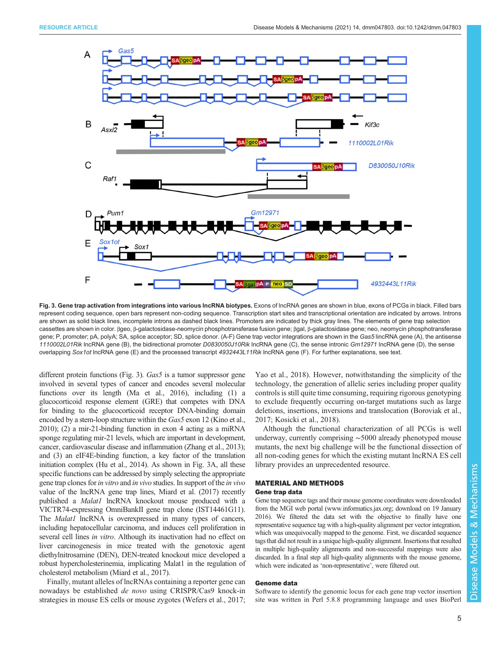<span id="page-4-0"></span>

Fig. 3. Gene trap activation from integrations into various IncRNA biotypes. Exons of lncRNA genes are shown in blue, exons of PCGs in black. Filled bars represent coding sequence, open bars represent non-coding sequence. Transcription start sites and transcriptional orientation are indicated by arrows. Introns are shown as solid black lines, incomplete introns as dashed black lines. Promoters are indicated by thick gray lines. The elements of gene trap selection cassettes are shown in color. βgeo, β-galactosidase-neomycin phosphotransferase fusion gene; βgal, β-galactosidase gene; neo, neomycin phosphotransferase gene; P, promoter; pA, polyA; SA, splice acceptor; SD, splice donor. (A-F) Gene trap vector integrations are shown in the Gas5 lincRNA gene (A), the antisense 1110002L01Rik lncRNA gene (B), the bidirectional promoter D0830050J10Rik lncRNA gene (C), the sense intronic Gm12971 lncRNA gene (D), the sense overlapping Sox1ot lncRNA gene (E) and the processed transcript 4932443L11Rik lncRNA gene (F). For further explanations, see text.

different protein functions (Fig. 3). Gas5 is a tumor suppressor gene involved in several types of cancer and encodes several molecular functions over its length [\(Ma et al., 2016\)](#page-6-0), including (1) a glucocorticoid response element (GRE) that competes with DNA for binding to the glucocorticoid receptor DNA-binding domain encoded by a stem-loop structure within the Gas5 exon 12 [\(Kino et al.,](#page-6-0) [2010](#page-6-0)); (2) a mir-21-binding function in exon 4 acting as a miRNA sponge regulating mir-21 levels, which are important in development, cancer, cardiovascular disease and inflammation [\(Zhang et al., 2013\)](#page-6-0); and (3) an eIF4E-binding function, a key factor of the translation initiation complex [\(Hu et al., 2014\)](#page-6-0). As shown in Fig. 3A, all these specific functions can be addressed by simply selecting the appropriate gene trap clones for in vitro and in vivo studies. In support of the in vivo value of the lncRNA gene trap lines, [Miard et al. \(2017\)](#page-6-0) recently published a *Malat1* lncRNA knockout mouse produced with a VICTR74-expressing OmniBankII gene trap clone (IST14461G11). The *Malat1* lncRNA is overexpressed in many types of cancers, including hepatocellular carcinoma, and induces cell proliferation in several cell lines *in vitro*. Although its inactivation had no effect on liver carcinogenesis in mice treated with the genotoxic agent diethylnitrosamine (DEN), DEN-treated knockout mice developed a robust hypercholesterinemia, implicating Malat1 in the regulation of cholesterol metabolism [\(Miard et al., 2017](#page-6-0)).

Finally, mutant alleles of lncRNAs containing a reporter gene can nowadays be established de novo using CRISPR/Cas9 knock-in strategies in mouse ES cells or mouse zygotes [\(Wefers et al., 2017](#page-6-0);

[Yao et al., 2018](#page-6-0)). However, notwithstanding the simplicity of the technology, the generation of allelic series including proper quality controls is still quite time consuming, requiring rigorous genotyping to exclude frequently occurring on-target mutations such as large deletions, insertions, inversions and translocation [\(Boroviak et al.,](#page-5-0) [2017;](#page-5-0) [Kosicki et al., 2018\)](#page-6-0).

Although the functional characterization of all PCGs is well underway, currently comprising ∼5000 already phenotyped mouse mutants, the next big challenge will be the functional dissection of all non-coding genes for which the existing mutant lncRNA ES cell library provides an unprecedented resource.

#### MATERIAL AND METHODS

#### Gene trap data

Gene trap sequence tags and their mouse genome coordinates were downloaded from the MGI web portal ([www.informatics.jax.org;](http://www.informatics.jax.org) download on 19 January 2016). We filtered the data set with the objective to finally have one representative sequence tag with a high-quality alignment per vector integration, which was unequivocally mapped to the genome. First, we discarded sequence tags that did not result in a unique high-quality alignment. Insertions that resulted in multiple high-quality alignments and non-successful mappings were also discarded. In a final step all high-quality alignments with the mouse genome, which were indicated as 'non-representative', were filtered out.

## Genome data

Software to identify the genomic locus for each gene trap vector insertion site was written in Perl 5.8.8 programming language and uses BioPerl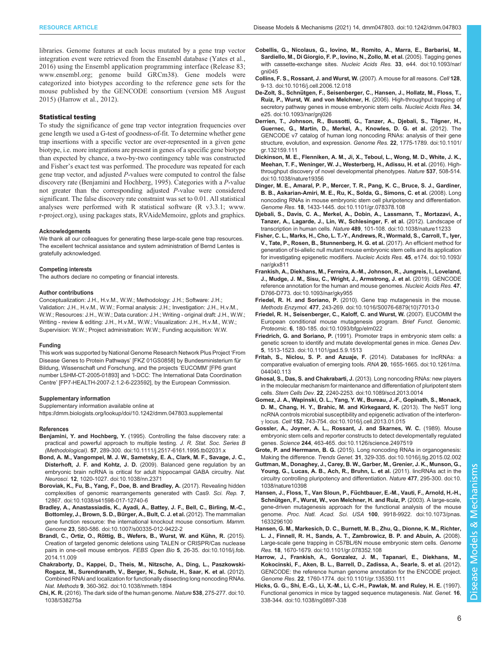<span id="page-5-0"></span>libraries. Genome features at each locus mutated by a gene trap vector integration event were retrieved from the Ensembl database [\(Yates et al.,](#page-6-0) [2016](#page-6-0)) using the Ensembl application programming interface (Release 83; [www.ensembl.org;](http://www.ensembl.org) genome build GRCm38). Gene models were categorized into biotypes according to the reference gene sets for the mouse published by the GENCODE consortium (version M8 August 2015) (Harrow et al., 2012).

#### Statistical testing

To study the significance of gene trap vector integration frequencies over gene length we used a G-test of goodness-of-fit. To determine whether gene trap insertions with a specific vector are over-represented in a given gene biotype, i.e. more integrations are present in genes of a specific gene biotype than expected by chance, a two-by-two contingency table was constructed and Fisher's exact test was performed. The procedure was repeated for each gene trap vector, and adjusted P-values were computed to control the false discovery rate (Benjamini and Hochberg, 1995). Categories with a P-value not greater than the corresponding adjusted P-value were considered significant. The false discovery rate constraint was set to 0.01. All statistical analyses were performed with R statistical software (R v3.3.1; [www.](http://www.r-project.org) [r-project.org\)](http://www.r-project.org), using packages stats, RVAideMemoire, gplots and graphics.

#### Acknowledgements

We thank all our colleagues for generating these large-scale gene trap resources. The excellent technical assistance and system administration of Bernd Lentes is gratefully acknowledged.

#### Competing interests

The authors declare no competing or financial interests.

#### Author contributions

Conceptualization: J.H., H.v.M., W.W.; Methodology: J.H.; Software: J.H.; Validation: J.H., H.v.M., W.W.; Formal analysis: J.H.; Investigation: J.H., H.v.M., W.W.; Resources: J.H., W.W.; Data curation: J.H.; Writing - original draft: J.H., W.W.; Writing - review & editing: J.H., H.v.M., W.W.; Visualization: J.H., H.v.M., W.W.; Supervision: W.W.; Project administration: W.W.; Funding acquisition: W.W.

#### Funding

This work was supported by National Genome Research Network Plus Project 'From Disease Genes to Protein Pathways' [FKZ 01GS0858] by Bundesministerium für Bildung, Wissenschaft und Forschung, and the projects 'EUCOMM' [FP6 grant number LSHM-CT-2005-01893] and 'I-DCC: The International Data Coordination Centre' [FP7-HEALTH-2007-2.1.2-6-223592], by the European Commission.

#### Supplementary information

Supplementary information available online at <https://dmm.biologists.org/lookup/doi/10.1242/dmm.047803.supplemental>

#### References

- Benjamini, Y. and Hochberg, Y. [\(1995\). Controlling the false discovery rate: a](https://doi.org/10.1111/j.2517-6161.1995.tb02031.x) [practical and powerful approach to multiple testing.](https://doi.org/10.1111/j.2517-6161.1995.tb02031.x) J. R. Stat. Soc. Series B (Methodological). 57[, 289-300. doi:10.1111/j.2517-6161.1995.tb02031.x](https://doi.org/10.1111/j.2517-6161.1995.tb02031.x)
- [Bond, A. M., Vangompel, M. J. W., Sametsky, E. A., Clark, M. F., Savage, J. C.,](https://doi.org/10.1038/nn.2371) Disterhoft, J. F. and Kohtz, J. D. [\(2009\). Balanced gene regulation by an](https://doi.org/10.1038/nn.2371) [embryonic brain ncRNA is critical for adult hippocampal GABA circuitry.](https://doi.org/10.1038/nn.2371) Nat. Neurosci. 12[, 1020-1027. doi:10.1038/nn.2371](https://doi.org/10.1038/nn.2371)
- [Boroviak, K., Fu, B., Yang, F., Doe, B. and Bradley, A.](https://doi.org/10.1038/s41598-017-12740-6) (2017). Revealing hidden [complexities of genomic rearrangements generated with Cas9.](https://doi.org/10.1038/s41598-017-12740-6) Sci. Rep. 7, [12867. doi:10.1038/s41598-017-12740-6](https://doi.org/10.1038/s41598-017-12740-6)
- [Bradley, A., Anastassiadis, K., Ayadi, A., Battey, J. F., Bell, C., Birling, M.-C.,](https://doi.org/10.1007/s00335-012-9422-2) [Bottomley, J., Brown, S. D., Bu](https://doi.org/10.1007/s00335-012-9422-2)̈rger, A., Bult, C. J. et al. (2012). The mammalian [gene function resource: the international knockout mouse consortium.](https://doi.org/10.1007/s00335-012-9422-2) Mamm. Genome 23[, 580-586. doi:10.1007/s00335-012-9422-2](https://doi.org/10.1007/s00335-012-9422-2)
- Brandl, C., Ortiz, O., Röttig, B., Wefers, B., Wurst, W. and Kühn, R. (2015). [Creation of targeted genomic deletions using TALEN or CRISPR/Cas nuclease](https://doi.org/10.1016/j.fob.2014.11.009) [pairs in one-cell mouse embryos.](https://doi.org/10.1016/j.fob.2014.11.009) FEBS Open Bio 5, 26-35. doi:10.1016/j.fob. [2014.11.009](https://doi.org/10.1016/j.fob.2014.11.009)
- [Chakraborty, D., Kappei, D., Theis, M., Nitzsche, A., Ding, L., Paszkowski-](https://doi.org/10.1038/nmeth.1894)[Rogacz, M., Surendranath, V., Berger, N., Schulz, H., Saar, K. et al.](https://doi.org/10.1038/nmeth.1894) (2012). [Combined RNAi and localization for functionally dissecting long noncoding RNAs.](https://doi.org/10.1038/nmeth.1894) Nat. Methods 9[, 360-362. doi:10.1038/nmeth.1894](https://doi.org/10.1038/nmeth.1894)
- Chi, K. R. [\(2016\). The dark side of the human genome.](https://doi.org/10.1038/538275a) Nature 538, 275-277. doi:10. [1038/538275a](https://doi.org/10.1038/538275a)
- [Cobellis, G., Nicolaus, G., Iovino, M., Romito, A., Marra, E., Barbarisi, M.,](https://doi.org/10.1093/nar/gni045) [Sardiello, M., Di Giorgio, F. P., Iovino, N., Zollo, M. et al.](https://doi.org/10.1093/nar/gni045) (2005). Tagging genes [with cassette-exchange sites.](https://doi.org/10.1093/nar/gni045) Nucleic Acids Res. 33, e44. doi:10.1093/nar/ ani045
- [Collins, F. S., Rossant, J. and Wurst, W.](https://doi.org/10.1016/j.cell.2006.12.018) (2007). A mouse for all reasons. Cell 128, [9-13. doi:10.1016/j.cell.2006.12.018](https://doi.org/10.1016/j.cell.2006.12.018)
- De-Zolt, S., Schnü[tgen, F., Seisenberger, C., Hansen, J., Hollatz, M., Floss, T.,](https://doi.org/10.1093/nar/gnj026) [Ruiz, P., Wurst, W. and von Melchner, H.](https://doi.org/10.1093/nar/gnj026) (2006). High-throughput trapping of [secretory pathway genes in mouse embryonic stem cells.](https://doi.org/10.1093/nar/gnj026) Nucleic Acids Res. 34, [e25. doi:10.1093/nar/gnj026](https://doi.org/10.1093/nar/gnj026)
- [Derrien, T., Johnson, R., Bussotti, G., Tanzer, A., Djebali, S., Tilgner, H.,](https://doi.org/10.1101/gr.132159.111) [Guernec, G., Martin, D., Merkel, A., Knowles, D. G. et al.](https://doi.org/10.1101/gr.132159.111) (2012). The [GENCODE v7 catalog of human long noncoding RNAs: analysis of their gene](https://doi.org/10.1101/gr.132159.111) [structure, evolution, and expression.](https://doi.org/10.1101/gr.132159.111) Genome Res. 22, 1775-1789. doi:10.1101/ [gr.132159.111](https://doi.org/10.1101/gr.132159.111)
- [Dickinson, M. E., Flenniken, A. M., Ji, X., Teboul, L., Wong, M. D., White, J. K.,](https://doi.org/10.1038/nature19356) [Meehan, T. F., Weninger, W. J., Westerberg, H., Adissu, H. et al.](https://doi.org/10.1038/nature19356) (2016). High[throughput discovery of novel developmental phenotypes.](https://doi.org/10.1038/nature19356) Nature 537, 508-514. [doi:10.1038/nature19356](https://doi.org/10.1038/nature19356)
- [Dinger, M. E., Amaral, P. P., Mercer, T. R., Pang, K. C., Bruce, S. J., Gardiner,](https://doi.org/10.1101/gr.078378.108) [B. B., Askarian-Amiri, M. E., Ru, K., Solda, G., Simons, C. et al.](https://doi.org/10.1101/gr.078378.108) (2008). Long [noncoding RNAs in mouse embryonic stem cell pluripotency and differentiation.](https://doi.org/10.1101/gr.078378.108) Genome Res. 18[, 1433-1445. doi:10.1101/gr.078378.108](https://doi.org/10.1101/gr.078378.108)
- [Djebali, S., Davis, C. A., Merkel, A., Dobin, A., Lassmann, T., Mortazavi, A.,](https://doi.org/10.1038/nature11233) [Tanzer, A., Lagarde, J., Lin, W., Schlesinger, F. et al.](https://doi.org/10.1038/nature11233) (2012). Landscape of transcription in human cells. Nature 489[, 101-108. doi:10.1038/nature11233](https://doi.org/10.1038/nature11233)
- [Fisher, C. L., Marks, H., Cho, L. T.-Y., Andrews, R., Wormald, S., Carroll, T., Iyer,](https://doi.org/10.1093/nar/gkx811) [V., Tate, P., Rosen, B., Stunnenberg, H. G. et al.](https://doi.org/10.1093/nar/gkx811) (2017). An efficient method for [generation of bi-allelic null mutant mouse embryonic stem cells and its application](https://doi.org/10.1093/nar/gkx811) [for investigating epigenetic modifiers.](https://doi.org/10.1093/nar/gkx811) Nucleic Acids Res. 45, e174. doi:10.1093/ [nar/gkx811](https://doi.org/10.1093/nar/gkx811)
- [Frankish, A., Diekhans, M., Ferreira, A.-M., Johnson, R., Jungreis, I., Loveland,](https://doi.org/10.1093/nar/gky955) [J., Mudge, J. M., Sisu, C., Wright, J., Armstrong, J. et al.](https://doi.org/10.1093/nar/gky955) (2019). GENCODE [reference annotation for the human and mouse genomes.](https://doi.org/10.1093/nar/gky955) Nucleic Acids Res. 47, [D766-D773. doi:10.1093/nar/gky955](https://doi.org/10.1093/nar/gky955)
- Friedel, R. H. and Soriano, P. [\(2010\). Gene trap mutagenesis in the mouse.](https://doi.org/10.1016/S0076-6879(10)77013-0) Methods Enzymol. 477[, 243-269. doi:10.1016/S0076-6879\(10\)77013-0](https://doi.org/10.1016/S0076-6879(10)77013-0)
- [Friedel, R. H., Seisenberger, C., Kaloff, C. and Wurst, W.](https://doi.org/10.1093/bfgp/elm022) (2007). EUCOMM the [European conditional mouse mutagenesis program.](https://doi.org/10.1093/bfgp/elm022) Brief Funct. Genomic. Proteomic. 6[, 180-185. doi:10.1093/bfgp/elm022](https://doi.org/10.1093/bfgp/elm022)
- Friedrich, G. and Soriano, P. [\(1991\). Promoter traps in embryonic stem cells: a](https://doi.org/10.1101/gad.5.9.1513) [genetic screen to identify and mutate developmental genes in mice.](https://doi.org/10.1101/gad.5.9.1513) Genes Dev. 5[, 1513-1523. doi:10.1101/gad.5.9.1513](https://doi.org/10.1101/gad.5.9.1513)
- [Fritah, S., Niclou, S. P. and Azuaje, F.](https://doi.org/10.1261/rna.044040.113) (2014). Databases for lncRNAs: a [comparative evaluation of emerging tools.](https://doi.org/10.1261/rna.044040.113) RNA 20, 1655-1665. doi:10.1261/rna. [044040.113](https://doi.org/10.1261/rna.044040.113)
- Ghosal, S., Das, S. and Chakrabarti, J. [\(2013\). Long noncoding RNAs: new players](https://doi.org/10.1089/scd.2013.0014) [in the molecular mechanism for maintenance and differentiation of pluripotent stem](https://doi.org/10.1089/scd.2013.0014) cells. Stem Cells Dev. 22[, 2240-2253. doi:10.1089/scd.2013.0014](https://doi.org/10.1089/scd.2013.0014)
- [Gomez, J. A., Wapinski, O. L., Yang, Y. W., Bureau, J.-F., Gopinath, S., Monack,](https://doi.org/10.1016/j.cell.2013.01.015) [D. M., Chang, H. Y., Brahic, M. and Kirkegaard, K.](https://doi.org/10.1016/j.cell.2013.01.015) (2013). The NeST long [ncRNA controls microbial susceptibility and epigenetic activation of the interferon](https://doi.org/10.1016/j.cell.2013.01.015)γ locus. Cell 152[, 743-754. doi:10.1016/j.cell.2013.01.015](https://doi.org/10.1016/j.cell.2013.01.015)
- [Gossler, A., Joyner, A. L., Rossant, J. and Skarnes, W. C.](https://doi.org/10.1126/science.2497519) (1989). Mouse [embryonic stem cells and reporter constructs to detect developmentally regulated](https://doi.org/10.1126/science.2497519) genes. Science 244[, 463-465. doi:10.1126/science.2497519](https://doi.org/10.1126/science.2497519)
- Grote, P. and Herrmann, B. G. [\(2015\). Long noncoding RNAs in organogenesis:](https://doi.org/10.1016/j.tig.2015.02.002) Making the difference. Trends Genet. 31[, 329-335. doi:10.1016/j.tig.2015.02.002](https://doi.org/10.1016/j.tig.2015.02.002)
- [Guttman, M., Donaghey, J., Carey, B. W., Garber, M., Grenier, J. K., Munson, G.,](https://doi.org/10.1038/nature10398) [Young, G., Lucas, A. B., Ach, R., Bruhn, L. et al.](https://doi.org/10.1038/nature10398) (2011). lincRNAs act in the [circuitry controlling pluripotency and differentiation.](https://doi.org/10.1038/nature10398) Nature 477, 295-300. doi:10. [1038/nature10398](https://doi.org/10.1038/nature10398)
- Hansen, J., Floss, T., Van Sloun, P., Fü[chtbauer, E.-M., Vauti, F., Arnold, H.-H.,](https://doi.org/10.1073/pnas.1633296100) Schnü[tgen, F., Wurst, W., von Melchner, H. and Ruiz, P.](https://doi.org/10.1073/pnas.1633296100) (2003). A large-scale, [gene-driven mutagenesis approach for the functional analysis of the mouse](https://doi.org/10.1073/pnas.1633296100) genome. Proc. Natl. Acad. Sci. USA 100[, 9918-9922. doi:10.1073/pnas.](https://doi.org/10.1073/pnas.1633296100) [1633296100](https://doi.org/10.1073/pnas.1633296100)
- [Hansen, G. M., Markesich, D. C., Burnett, M. B., Zhu, Q., Dionne, K. M., Richter,](https://doi.org/10.1101/gr.078352.108) [L. J., Finnell, R. H., Sands, A. T., Zambrowicz, B. P. and Abuin, A.](https://doi.org/10.1101/gr.078352.108) (2008). [Large-scale gene trapping in C57BL/6N mouse embryonic stem cells.](https://doi.org/10.1101/gr.078352.108) Genome Res. 18[, 1670-1679. doi:10.1101/gr.078352.108](https://doi.org/10.1101/gr.078352.108)
- [Harrow, J., Frankish, A., Gonzalez, J. M., Tapanari, E., Diekhans, M.,](https://doi.org/10.1101/gr.135350.111) [Kokocinski, F., Aken, B. L., Barrell, D., Zadissa, A., Searle, S. et al.](https://doi.org/10.1101/gr.135350.111) (2012). [GENCODE: the reference human genome annotation for the ENCODE project.](https://doi.org/10.1101/gr.135350.111) Genome Res. 22[, 1760-1774. doi:10.1101/gr.135350.111](https://doi.org/10.1101/gr.135350.111)
- [Hicks, G. G., Shi, E.-G., Li, X.-M., Li, C.-H., Pawlak, M. and Ruley, H. E.](https://doi.org/10.1038/ng0897-338) (1997). [Functional genomics in mice by tagged sequence mutagenesis.](https://doi.org/10.1038/ng0897-338) Nat. Genet. 16, [338-344. doi:10.1038/ng0897-338](https://doi.org/10.1038/ng0897-338)